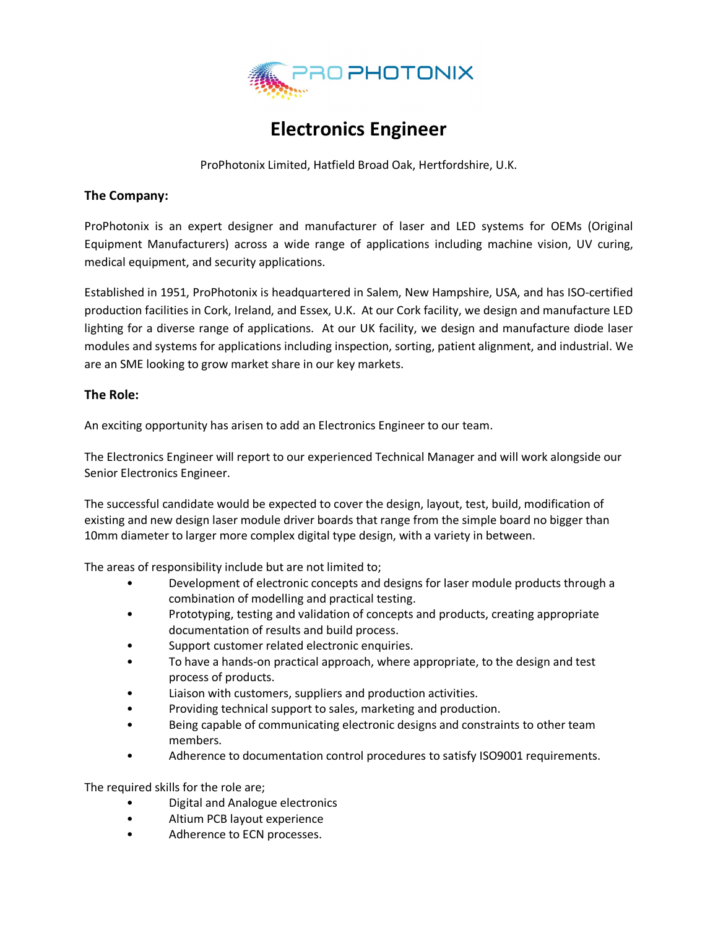

## **Electronics Engineer**

ProPhotonix Limited, Hatfield Broad Oak, Hertfordshire, U.K.

## **The Company:**

ProPhotonix is an expert designer and manufacturer of laser and LED systems for OEMs (Original Equipment Manufacturers) across a wide range of applications including machine vision, UV curing, medical equipment, and security applications.

Established in 1951, ProPhotonix is headquartered in Salem, New Hampshire, USA, and has ISO-certified production facilities in Cork, Ireland, and Essex, U.K. At our Cork facility, we design and manufacture LED lighting for a diverse range of applications. At our UK facility, we design and manufacture diode laser modules and systems for applications including inspection, sorting, patient alignment, and industrial. We are an SME looking to grow market share in our key markets.

## **The Role:**

An exciting opportunity has arisen to add an Electronics Engineer to our team.

The Electronics Engineer will report to our experienced Technical Manager and will work alongside our Senior Electronics Engineer.

The successful candidate would be expected to cover the design, layout, test, build, modification of existing and new design laser module driver boards that range from the simple board no bigger than 10mm diameter to larger more complex digital type design, with a variety in between.

The areas of responsibility include but are not limited to;

- Development of electronic concepts and designs for laser module products through a combination of modelling and practical testing.
- Prototyping, testing and validation of concepts and products, creating appropriate documentation of results and build process.
- Support customer related electronic enquiries.
- To have a hands-on practical approach, where appropriate, to the design and test process of products.
- Liaison with customers, suppliers and production activities.
- Providing technical support to sales, marketing and production.
- Being capable of communicating electronic designs and constraints to other team members.
- Adherence to documentation control procedures to satisfy ISO9001 requirements.

The required skills for the role are;

- Digital and Analogue electronics
- Altium PCB layout experience
- Adherence to ECN processes.